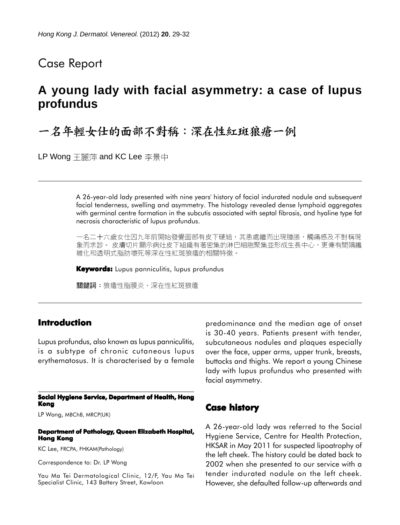## Case Report

# **A young lady with facial asymmetry: a case of lupus profundus**

一名年輕女仕的面部不對稱:深在性紅斑狼瘡一例

LP Wong 王麗萍 and KC Lee 李景中

A 26-year-old lady presented with nine years' history of facial indurated nodule and subsequent facial tenderness, swelling and asymmetry. The histology revealed dense lymphoid aggregates with germinal centre formation in the subcutis associated with septal fibrosis, and hyaline type fat necrosis characteristic of lupus profundus.

一名二十六歲女仕因九年前開始發覺面部有皮下硬結,其患處繼而出現腫脹,觸痛感及不對稱現 象而求診。 皮膚切片顯示病灶皮下組織有著密集的淋巴細胞聚集並形成生長中心,更兼有間隔纖 維化和透明式脂肪壞死等深在性紅斑狼瘡的相關特徵。

**Keywords:** Lupus panniculitis, lupus profundus

關鍵詞:狼瘡性脂膜炎、深在性紅斑狼瘡

### **Introduction**

Lupus profundus, also known as lupus panniculitis, is a subtype of chronic cutaneous lupus erythematosus. It is characterised by a female

#### **Social Hygiene Service, Department of Health, Hong Kong**

LP Wong, MBChB, MRCP(UK)

#### **Department of Pathology, Queen Elizabeth Hospital, Hong Kong**

KC Lee, FRCPA, FHKAM(Pathology)

Correspondence to: Dr. LP Wong

Yau Ma Tei Dermatological Clinic, 12/F, Yau Ma Tei Specialist Clinic, 143 Battery Street, Kowloon

predominance and the median age of onset is 30-40 years. Patients present with tender, subcutaneous nodules and plaques especially over the face, upper arms, upper trunk, breasts, buttocks and thighs. We report a young Chinese lady with lupus profundus who presented with facial asymmetry.

### **Case history**

A 26-year-old lady was referred to the Social Hygiene Service, Centre for Health Protection, HKSAR in May 2011 for suspected lipoatrophy of the left cheek. The history could be dated back to 2002 when she presented to our service with a tender indurated nodule on the left cheek. However, she defaulted follow-up afterwards and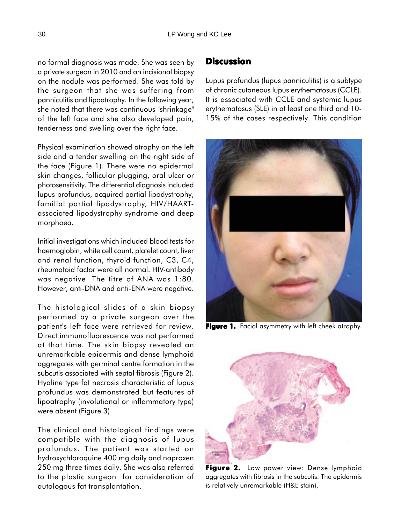no formal diagnosis was made. She was seen by a private surgeon in 2010 and an incisional biopsy on the nodule was performed. She was told by the surgeon that she was suffering from panniculitis and lipoatrophy. In the following year, she noted that there was continuous "shrinkage" of the left face and she also developed pain, tenderness and swelling over the right face.

Physical examination showed atrophy on the left side and a tender swelling on the right side of the face (Figure 1). There were no epidermal skin changes, follicular plugging, oral ulcer or photosensitivity. The differential diagnosis included lupus profundus, acquired partial lipodystrophy, familial partial lipodystrophy, HIV/HAARTassociated lipodystrophy syndrome and deep morphoea.

Initial investigations which included blood tests for haemoglobin, white cell count, platelet count, liver and renal function, thyroid function, C3, C4, rheumatoid factor were all normal. HIV-antibody was negative. The titre of ANA was 1:80. However, anti-DNA and anti-ENA were negative.

The histological slides of a skin biopsy performed by a private surgeon over the patient's left face were retrieved for review. Direct immunofluorescence was not performed at that time. The skin biopsy revealed an unremarkable epidermis and dense lymphoid aggregates with germinal centre formation in the subcutis associated with septal fibrosis (Figure 2). Hyaline type fat necrosis characteristic of lupus profundus was demonstrated but features of lipoatrophy (involutional or inflammatory type) were absent (Figure 3).

The clinical and histological findings were compatible with the diagnosis of lupus profundus. The patient was started on hydroxychloroquine 400 mg daily and naproxen 250 mg three times daily. She was also referred to the plastic surgeon for consideration of autologous fat transplantation.

## **Discussion**

Lupus profundus (lupus panniculitis) is a subtype of chronic cutaneous lupus erythematosus (CCLE). It is associated with CCLE and systemic lupus erythematosus (SLE) in at least one third and 10- 15% of the cases respectively. This condition



**Figure 1.** Facial asymmetry with left cheek atrophy.



Figure 2. Low power view: Dense lymphoid aggregates with fibrosis in the subcutis. The epidermis is relatively unremarkable (H&E stain).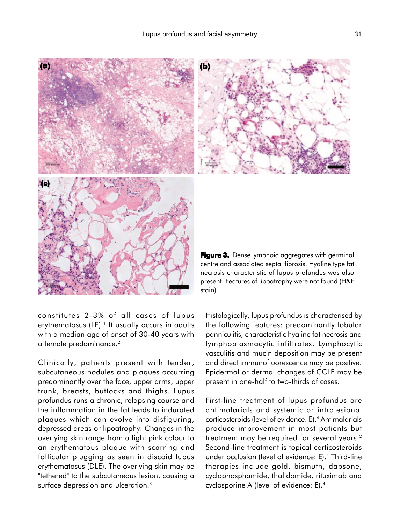

stain).

constitutes 2-3% of all cases of lupus erythematosus  $(LE)$ .<sup>1</sup> It usually occurs in adults with a median age of onset of 30-40 years with a female predominance.2

Clinically, patients present with tender, subcutaneous nodules and plaques occurring predominantly over the face, upper arms, upper trunk, breasts, buttocks and thighs. Lupus profundus runs a chronic, relapsing course and the inflammation in the fat leads to indurated plaques which can evolve into disfiguring, depressed areas or lipoatrophy. Changes in the overlying skin range from a light pink colour to an erythematous plaque with scarring and follicular plugging as seen in discoid lupus erythematosus (DLE). The overlying skin may be "tethered" to the subcutaneous lesion, causing a surface depression and ulceration.<sup>3</sup>

Histologically, lupus profundus is characterised by the following features: predominantly lobular panniculitis, characteristic hyaline fat necrosis and lymphoplasmacytic infiltrates. Lymphocytic vasculitis and mucin deposition may be present

centre and associated septal fibrosis. Hyaline type fat necrosis characteristic of lupus profundus was also present. Features of lipoatrophy were not found (H&E

and direct immunofluorescence may be positive. Epidermal or dermal changes of CCLE may be present in one-half to two-thirds of cases.

First-line treatment of lupus profundus are antimalarials and systemic or intralesional corticosteroids (level of evidence: E).4 Antimalarials produce improvement in most patients but treatment may be required for several years.<sup>2</sup> Second-line treatment is topical corticosteroids under occlusion (level of evidence: E).4 Third-line therapies include gold, bismuth, dapsone, cyclophosphamide, thalidomide, rituximab and cyclosporine A (level of evidence: E).4